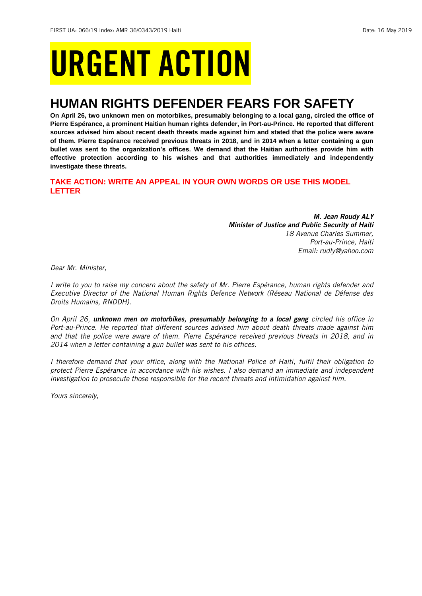# URGENT ACTION

## **HUMAN RIGHTS DEFENDER FEARS FOR SAFETY**

**On April 26, two unknown men on motorbikes, presumably belonging to a local gang, circled the office of Pierre Espérance, a prominent Haitian human rights defender, in Port-au-Prince. He reported that different sources advised him about recent death threats made against him and stated that the police were aware of them. Pierre Espérance received previous threats in 2018, and in 2014 when a letter containing a gun bullet was sent to the organization's offices. We demand that the Haitian authorities provide him with effective protection according to his wishes and that authorities immediately and independently investigate these threats.**

## **TAKE ACTION: WRITE AN APPEAL IN YOUR OWN WORDS OR USE THIS MODEL LETTER**

*M. Jean Roudy ALY Minister of Justice and Public Security of Haiti 18 Avenue Charles Summer, Port-au-Prince, Haiti Email: rudly@yahoo.com*

*Dear Mr. Minister,*

*I write to you to raise my concern about the safety of Mr. Pierre Espérance, human rights defender and Executive Director of the National Human Rights Defence Network (Réseau National de Défense des Droits Humains, RNDDH).*

*On April 26, unknown men on motorbikes, presumably belonging to a local gang circled his office in Port-au-Prince. He reported that different sources advised him about death threats made against him and that the police were aware of them. Pierre Espérance received previous threats in 2018, and in 2014 when a letter containing a gun bullet was sent to his offices.*

*I therefore demand that your office, along with the National Police of Haiti, fulfil their obligation to protect Pierre Espérance in accordance with his wishes. I also demand an immediate and independent investigation to prosecute those responsible for the recent threats and intimidation against him.*

*Yours sincerely,*